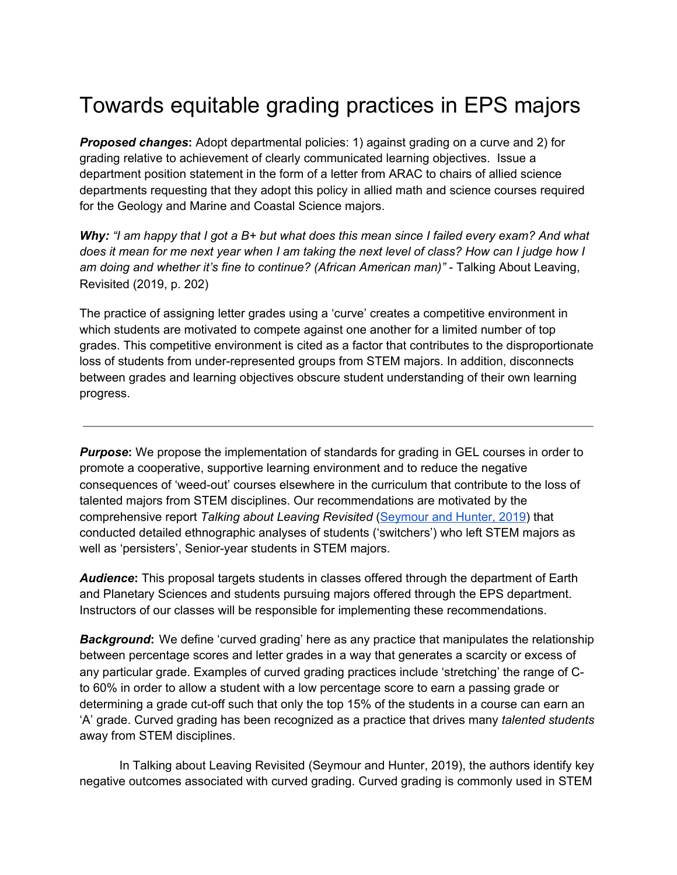## Towards equitable grading practices in EPS majors

*Proposed changes***:** Adopt departmental policies: 1) against grading on a curve and 2) for grading relative to achievement of clearly communicated learning objectives. Issue a department position statement in the form of a letter from ARAC to chairs of allied science departments requesting that they adopt this policy in allied math and science courses required for the Geology and Marine and Coastal Science majors.

Why: "I am happy that I got a B+ but what does this mean since I failed every exam? And what does it mean for me next year when I am taking the next level of class? How can I judge how I *am doing and whether it's fine to continue? (African American man)"* - Talking About Leaving, Revisited (2019, p. 202)

The practice of assigning letter grades using a 'curve' creates a competitive environment in which students are motivated to compete against one another for a limited number of top grades. This competitive environment is cited as a factor that contributes to the disproportionate loss of students from under-represented groups from STEM majors. In addition, disconnects between grades and learning objectives obscure student understanding of their own learning progress.

*Purpose:* We propose the implementation of standards for grading in GEL courses in order to promote a cooperative, supportive learning environment and to reduce the negative consequences of 'weed-out' courses elsewhere in the curriculum that contribute to the loss of talented majors from STEM disciplines. Our recommendations are motivated by the comprehensive report *Talking about Leaving Revisited* ([Seymour](https://link.springer.com/book/10.1007%2F978-3-030-25304-2) and Hunter, 2019) that conducted detailed ethnographic analyses of students ('switchers') who left STEM majors as well as 'persisters', Senior-year students in STEM majors.

*Audience***:** This proposal targets students in classes offered through the department of Earth and Planetary Sciences and students pursuing majors offered through the EPS department. Instructors of our classes will be responsible for implementing these recommendations.

**Background:** We define 'curved grading' here as any practice that manipulates the relationship between percentage scores and letter grades in a way that generates a scarcity or excess of any particular grade. Examples of curved grading practices include 'stretching' the range of Cto 60% in order to allow a student with a low percentage score to earn a passing grade or determining a grade cut-off such that only the top 15% of the students in a course can earn an 'A' grade. Curved grading has been recognized as a practice that drives many *talented students* away from STEM disciplines.

In Talking about Leaving Revisited (Seymour and Hunter, 2019), the authors identify key negative outcomes associated with curved grading. Curved grading is commonly used in STEM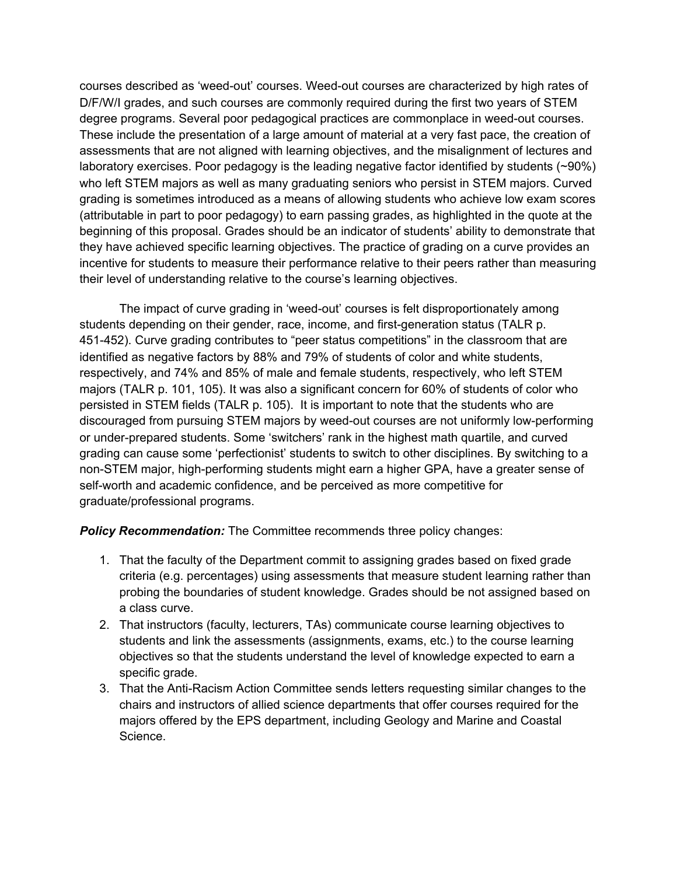courses described as 'weed-out' courses. Weed-out courses are characterized by high rates of D/F/W/I grades, and such courses are commonly required during the first two years of STEM degree programs. Several poor pedagogical practices are commonplace in weed-out courses. These include the presentation of a large amount of material at a very fast pace, the creation of assessments that are not aligned with learning objectives, and the misalignment of lectures and laboratory exercises. Poor pedagogy is the leading negative factor identified by students (~90%) who left STEM majors as well as many graduating seniors who persist in STEM majors. Curved grading is sometimes introduced as a means of allowing students who achieve low exam scores (attributable in part to poor pedagogy) to earn passing grades, as highlighted in the quote at the beginning of this proposal. Grades should be an indicator of students' ability to demonstrate that they have achieved specific learning objectives. The practice of grading on a curve provides an incentive for students to measure their performance relative to their peers rather than measuring their level of understanding relative to the course's learning objectives.

The impact of curve grading in 'weed-out' courses is felt disproportionately among students depending on their gender, race, income, and first-generation status (TALR p. 451-452). Curve grading contributes to "peer status competitions" in the classroom that are identified as negative factors by 88% and 79% of students of color and white students, respectively, and 74% and 85% of male and female students, respectively, who left STEM majors (TALR p. 101, 105). It was also a significant concern for 60% of students of color who persisted in STEM fields (TALR p. 105). It is important to note that the students who are discouraged from pursuing STEM majors by weed-out courses are not uniformly low-performing or under-prepared students. Some 'switchers' rank in the highest math quartile, and curved grading can cause some 'perfectionist' students to switch to other disciplines. By switching to a non-STEM major, high-performing students might earn a higher GPA, have a greater sense of self-worth and academic confidence, and be perceived as more competitive for graduate/professional programs.

*Policy Recommendation:* The Committee recommends three policy changes:

- 1. That the faculty of the Department commit to assigning grades based on fixed grade criteria (e.g. percentages) using assessments that measure student learning rather than probing the boundaries of student knowledge. Grades should be not assigned based on a class curve.
- 2. That instructors (faculty, lecturers, TAs) communicate course learning objectives to students and link the assessments (assignments, exams, etc.) to the course learning objectives so that the students understand the level of knowledge expected to earn a specific grade.
- 3. That the Anti-Racism Action Committee sends letters requesting similar changes to the chairs and instructors of allied science departments that offer courses required for the majors offered by the EPS department, including Geology and Marine and Coastal Science.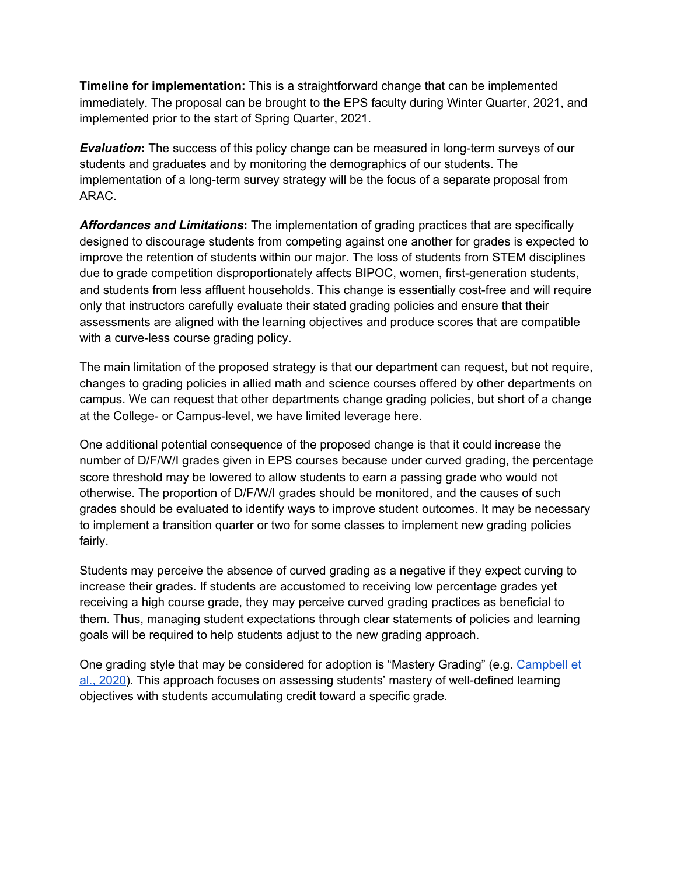**Timeline for implementation:** This is a straightforward change that can be implemented immediately. The proposal can be brought to the EPS faculty during Winter Quarter, 2021, and implemented prior to the start of Spring Quarter, 2021.

*Evaluation*: The success of this policy change can be measured in long-term surveys of our students and graduates and by monitoring the demographics of our students. The implementation of a long-term survey strategy will be the focus of a separate proposal from ARAC.

*Affordances and Limitations***:** The implementation of grading practices that are specifically designed to discourage students from competing against one another for grades is expected to improve the retention of students within our major. The loss of students from STEM disciplines due to grade competition disproportionately affects BIPOC, women, first-generation students, and students from less affluent households. This change is essentially cost-free and will require only that instructors carefully evaluate their stated grading policies and ensure that their assessments are aligned with the learning objectives and produce scores that are compatible with a curve-less course grading policy.

The main limitation of the proposed strategy is that our department can request, but not require, changes to grading policies in allied math and science courses offered by other departments on campus. We can request that other departments change grading policies, but short of a change at the College- or Campus-level, we have limited leverage here.

One additional potential consequence of the proposed change is that it could increase the number of D/F/W/I grades given in EPS courses because under curved grading, the percentage score threshold may be lowered to allow students to earn a passing grade who would not otherwise. The proportion of D/F/W/I grades should be monitored, and the causes of such grades should be evaluated to identify ways to improve student outcomes. It may be necessary to implement a transition quarter or two for some classes to implement new grading policies fairly.

Students may perceive the absence of curved grading as a negative if they expect curving to increase their grades. If students are accustomed to receiving low percentage grades yet receiving a high course grade, they may perceive curved grading practices as beneficial to them. Thus, managing student expectations through clear statements of policies and learning goals will be required to help students adjust to the new grading approach.

One grading style that may be considered for adoption is "Mastery Grading" (e.g. [Campbell](https://www.tandfonline.com/doi/full/10.1080/10511970.2020.1778824) et al., [2020](https://www.tandfonline.com/doi/full/10.1080/10511970.2020.1778824)). This approach focuses on assessing students' mastery of well-defined learning objectives with students accumulating credit toward a specific grade.